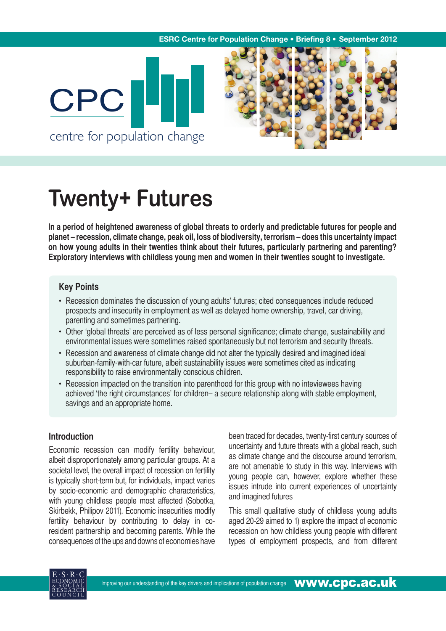#### **ESRC Centre for Population Change . Briefing 8 . September 2012**





# **Twenty+ Futures**

**In a period of heightened awareness of global threats to orderly and predictable futures for people and planet – recession, climate change, peak oil, loss of biodiversity, terrorism – does this uncertainty impact on how young adults in their twenties think about their futures, particularly partnering and parenting? Exploratory interviews with childless young men and women in their twenties sought to investigate.** 

## **Key Points**

- Recession dominates the discussion of young adults' futures; cited consequences include reduced prospects and insecurity in employment as well as delayed home ownership, travel, car driving, parenting and sometimes partnering.
- Other 'global threats' are perceived as of less personal significance; climate change, sustainability and environmental issues were sometimes raised spontaneously but not terrorism and security threats.
- Recession and awareness of climate change did not alter the typically desired and imagined ideal suburban-family-with-car future, albeit sustainability issues were sometimes cited as indicating responsibility to raise environmentally conscious children.
- Recession impacted on the transition into parenthood for this group with no inteviewees having achieved 'the right circumstances' for children– a secure relationship along with stable employment, savings and an appropriate home.

# **Introduction**

Economic recession can modify fertility behaviour, albeit disproportionately among particular groups. At a societal level, the overall impact of recession on fertility is typically short-term but, for individuals, impact varies by socio-economic and demographic characteristics, with young childless people most affected (Sobotka, Skirbekk, Philipov 2011). Economic insecurities modify fertility behaviour by contributing to delay in coresident partnership and becoming parents. While the consequences of the ups and downs of economies have been traced for decades, twenty-first century sources of uncertainty and future threats with a global reach, such as climate change and the discourse around terrorism, are not amenable to study in this way. Interviews with young people can, however, explore whether these issues intrude into current experiences of uncertainty and imagined futures

This small qualitative study of childless young adults aged 20-29 aimed to 1) explore the impact of economic recession on how childless young people with different types of employment prospects, and from different

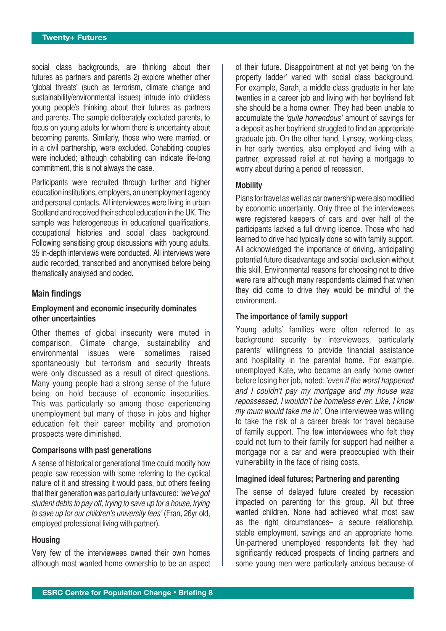social class backgrounds, are thinking about their futures as partners and parents 2) explore whether other 'global threats' (such as terrorism, climate change and sustainability/environmental issues) intrude into childless young people's thinking about their futures as partners and parents. The sample deliberately excluded parents, to focus on young adults for whom there is uncertainty about becoming parents. Similarly, those who were married, or in a civil partnership, were excluded. Cohabiting couples were included; although cohabiting can indicate life-long commitment, this is not always the case.

Participants were recruited through further and higher education institutions, employers, an unemployment agency and personal contacts. All interviewees were living in urban Scotland and received their school education in the UK. The sample was heterogeneous in educational qualifications, occupational histories and social class background. Following sensitising group discussions with young adults, 35 in-depth interviews were conducted. All interviews were audio recorded, transcribed and anonymised before being thematically analysed and coded.

#### **Main findings**

#### **Employment and economic insecurity dominates other uncertainties**

Other themes of global insecurity were muted in comparison. Climate change, sustainability and environmental issues were sometimes raised spontaneously but terrorism and security threats were only discussed as a result of direct questions. Many young people had a strong sense of the future being on hold because of economic insecurities. This was particularly so among those experiencing unemployment but many of those in jobs and higher education felt their career mobility and promotion prospects were diminished.

#### **Comparisons with past generations**

A sense of historical or generational time could modify how people saw recession with some referring to the cyclical nature of it and stressing it would pass, but others feeling that their generation was particularly unfavoured: 'we've got student debts to pay off, trying to save up for a house, trying to save up for our children's university fees' (Fran, 26yr old, employed professional living with partner).

#### **Housing**

Very few of the interviewees owned their own homes although most wanted home ownership to be an aspect of their future. Disappointment at not yet being 'on the property ladder' varied with social class background. For example, Sarah, a middle-class graduate in her late twenties in a career job and living with her boyfriend felt she should be a home owner. They had been unable to accumulate the 'quite horrendous' amount of savings for a deposit as her boyfriend struggled to find an appropriate graduate job. On the other hand, Lynsey, working-class, in her early twenties, also employed and living with a partner, expressed relief at not having a mortgage to worry about during a period of recession.

#### **Mobility**

Plans for travel as well as car ownership were also modified by economic uncertainty. Only three of the interviewees were registered keepers of cars and over half of the participants lacked a full driving licence. Those who had learned to drive had typically done so with family support. All acknowledged the importance of driving, anticipating potential future disadvantage and social exclusion without this skill. Environmental reasons for choosing not to drive were rare although many respondents claimed that when they did come to drive they would be mindful of the environment.

#### **The importance of family support**

Young adults' families were often referred to as background security by interviewees, particularly parents' willingness to provide financial assistance and hospitality in the parental home. For example, unemployed Kate, who became an early home owner before losing her job, noted: 'even if the worst happened and I couldn't pay my mortgage and my house was repossessed, I wouldn't be homeless ever. Like, I know my mum would take me in'. One interviewee was willing to take the risk of a career break for travel because of family support. The few interviewees who felt they could not turn to their family for support had neither a mortgage nor a car and were preoccupied with their vulnerability in the face of rising costs.

#### **Imagined ideal futures; Partnering and parenting**

The sense of delayed future created by recession impacted on parenting for this group. All but three wanted children. None had achieved what most saw as the right circumstances– a secure relationship, stable employment, savings and an appropriate home. Un-partnered unemployed respondents felt they had significantly reduced prospects of finding partners and some young men were particularly anxious because of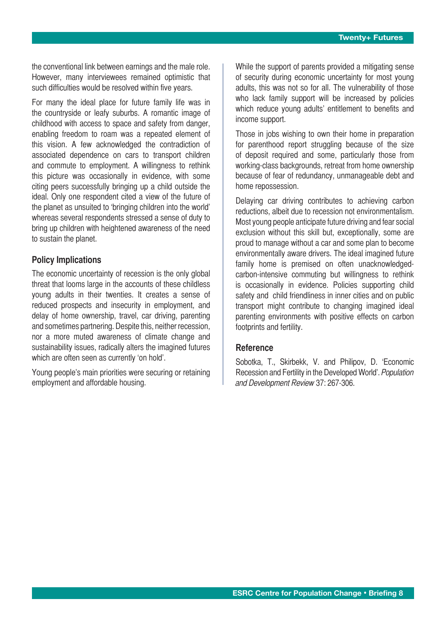the conventional link between earnings and the male role. However, many interviewees remained optimistic that such difficulties would be resolved within five years.

For many the ideal place for future family life was in the countryside or leafy suburbs. A romantic image of childhood with access to space and safety from danger, enabling freedom to roam was a repeated element of this vision. A few acknowledged the contradiction of associated dependence on cars to transport children and commute to employment. A willingness to rethink this picture was occasionally in evidence, with some citing peers successfully bringing up a child outside the ideal. Only one respondent cited a view of the future of the planet as unsuited to 'bringing children into the world' whereas several respondents stressed a sense of duty to bring up children with heightened awareness of the need to sustain the planet.

### **Policy Implications**

The economic uncertainty of recession is the only global threat that looms large in the accounts of these childless young adults in their twenties. It creates a sense of reduced prospects and insecurity in employment, and delay of home ownership, travel, car driving, parenting and sometimes partnering. Despite this, neither recession, nor a more muted awareness of climate change and sustainability issues, radically alters the imagined futures which are often seen as currently 'on hold'.

Young people's main priorities were securing or retaining employment and affordable housing.

While the support of parents provided a mitigating sense of security during economic uncertainty for most young adults, this was not so for all. The vulnerability of those who lack family support will be increased by policies which reduce young adults' entitlement to benefits and income support.

Those in jobs wishing to own their home in preparation for parenthood report struggling because of the size of deposit required and some, particularly those from working-class backgrounds, retreat from home ownership because of fear of redundancy, unmanageable debt and home repossession.

Delaying car driving contributes to achieving carbon reductions, albeit due to recession not environmentalism. Most young people anticipate future driving and fear social exclusion without this skill but, exceptionally, some are proud to manage without a car and some plan to become environmentally aware drivers. The ideal imagined future family home is premised on often unacknowledgedcarbon-intensive commuting but willingness to rethink is occasionally in evidence. Policies supporting child safety and child friendliness in inner cities and on public transport might contribute to changing imagined ideal parenting environments with positive effects on carbon footprints and fertility.

#### **Reference**

Sobotka, T., Skirbekk, V. and Philipov, D. 'Economic Recession and Fertility in the Developed World'. Population and Development Review 37: 267-306.